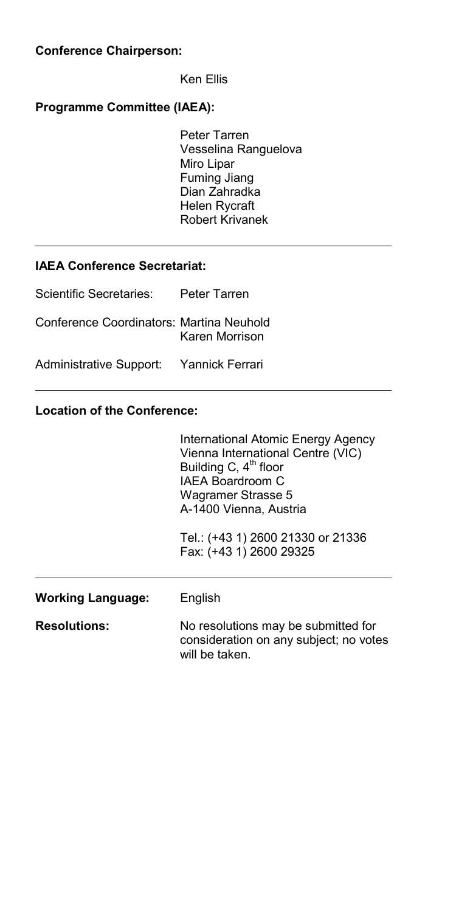#### **Conference Chairperson:**

Ken Ellis

#### **Programme Committee (IAEA):**

Peter Tarren Vesselina Ranguelova Miro Lipar Fuming Jiang Dian Zahradka Helen Rycraft Robert Krivanek

### **IAEA Conference Secretariat:**

| Scientific Secretaries:                  | Peter Tarren   |
|------------------------------------------|----------------|
| Conference Coordinators: Martina Neuhold | Karen Morrison |
| Administrative Support: Yannick Ferrari  |                |

### **Location of the Conference:**

|                     | International Atomic Energy Agency<br>Vienna International Centre (VIC)<br>Building C, 4 <sup>th</sup> floor<br>IAFA Boardroom C<br>Wagramer Strasse 5<br>A-1400 Vienna, Austria<br>Tel.: (+43 1) 2600 21330 or 21336<br>Fax: (+43 1) 2600 29325 |
|---------------------|--------------------------------------------------------------------------------------------------------------------------------------------------------------------------------------------------------------------------------------------------|
| Working Language:   | English                                                                                                                                                                                                                                          |
| <b>Resolutions:</b> | No resolutions may be submitted for<br>consideration on any subject; no votes<br>will be taken.                                                                                                                                                  |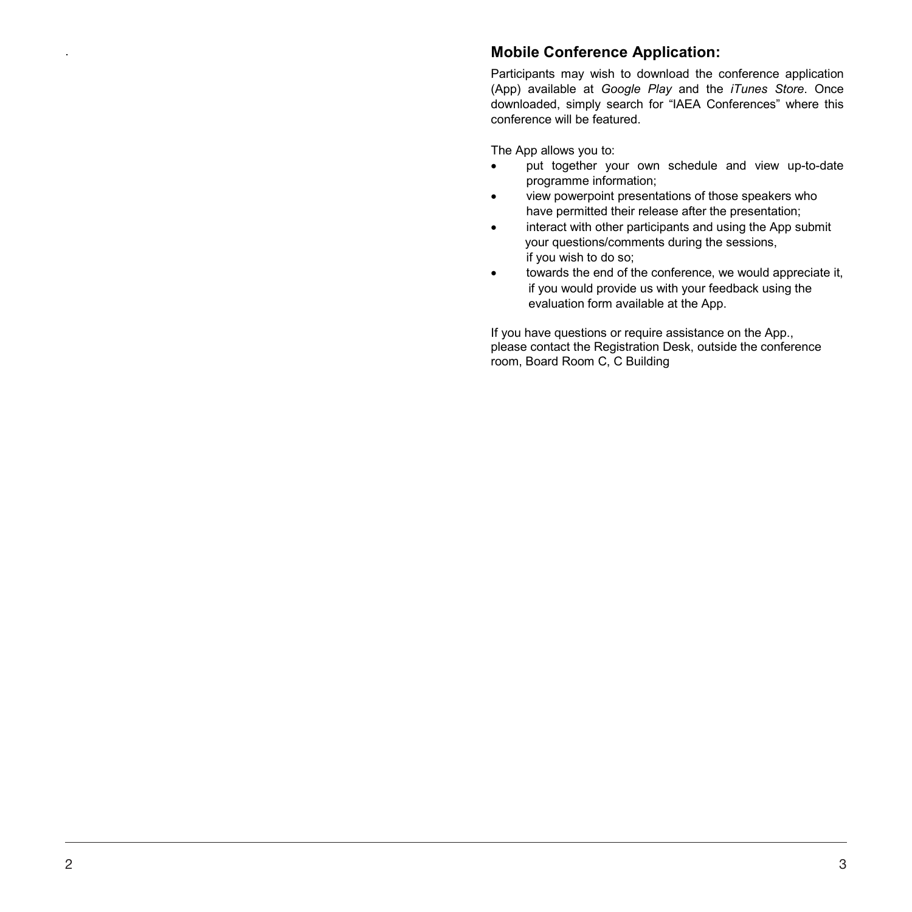## . **Mobile Conference Application:**

Participants may wish to download the conference application (App) available at *Google Play* and the *iTunes Store*. Once downloaded, simply search for "IAEA Conferences" where this conference will be featured.

The App allows you to:

- put together your own schedule and view up-to-date programme information;
- view powerpoint presentations of those speakers who have permitted their release after the presentation;
- interact with other participants and using the App submit your questions/comments during the sessions, if you wish to do so;
- towards the end of the conference, we would appreciate it, if you would provide us with your feedback using the evaluation form available at the App.

If you have questions or require assistance on the App., please contact the Registration Desk, outside the conference room, Board Room C, C Building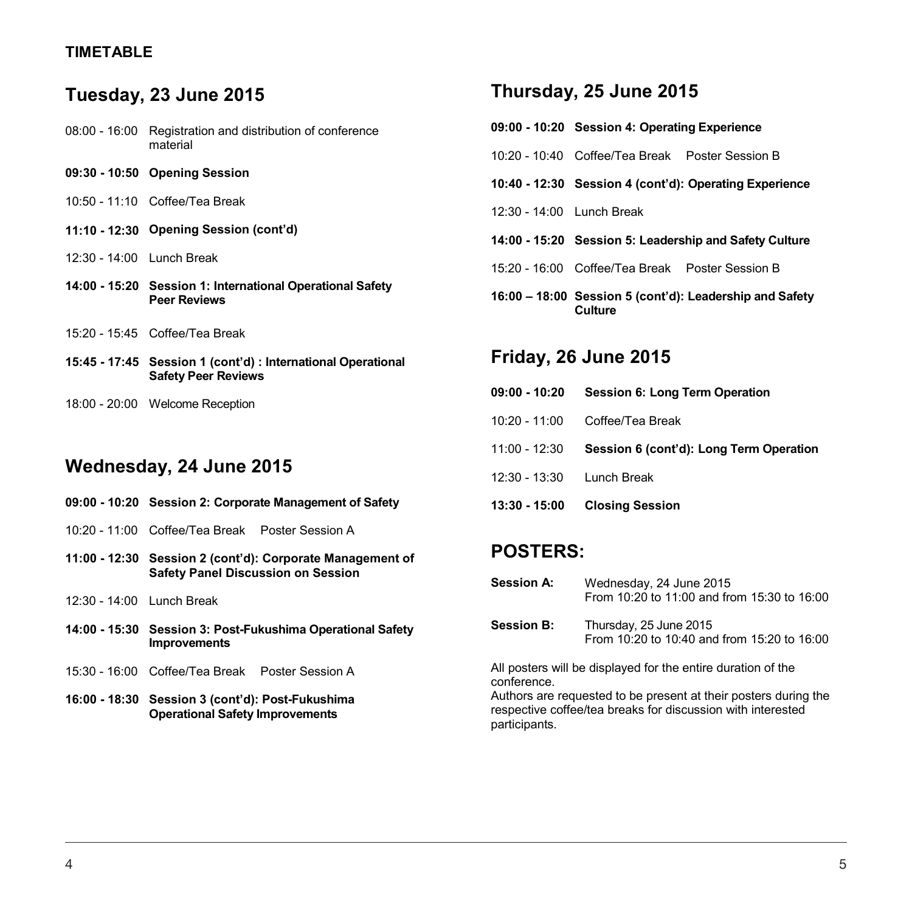## **TIMETABLE**

# **Tuesday, 23 June 2015**

| 08:00 - 16:00 Registration and distribution of conference |
|-----------------------------------------------------------|
| material                                                  |

|                             | 09:30 - 10:50 Opening Session                                                              |
|-----------------------------|--------------------------------------------------------------------------------------------|
|                             | 10:50 - 11:10 Coffee/Tea Break                                                             |
|                             | 11:10 - 12:30 Opening Session (cont'd)                                                     |
| $12:30 - 14:00$ Lunch Break |                                                                                            |
|                             | 14:00 - 15:20 Session 1: International Operational Safety<br><b>Peer Reviews</b>           |
|                             | 15:20 - 15:45 Coffee/Tea Break                                                             |
|                             | 15:45 - 17:45 Session 1 (cont'd) : International Operational<br><b>Safety Peer Reviews</b> |

## **Wednesday, 24 June 2015**

18:00 - 20:00 Welcome Reception

|                           | 09:00 - 10:20 Session 2: Corporate Management of Safety |                                                            |  |
|---------------------------|---------------------------------------------------------|------------------------------------------------------------|--|
|                           | 10:20 - 11:00 Coffee/Tea Break Poster Session A         |                                                            |  |
|                           | <b>Safety Panel Discussion on Session</b>               | 11:00 - 12:30 Session 2 (cont'd): Corporate Management of  |  |
| 12:30 - 14:00 Lunch Break |                                                         |                                                            |  |
|                           | <b>Improvements</b>                                     | 14:00 - 15:30 Session 3: Post-Fukushima Operational Safety |  |
|                           | 15:30 - 16:00 Coffee/Tea Break Poster Session A         |                                                            |  |

**16:00 - 18:30 Session 3 (cont'd): Post-Fukushima Operational Safety Improvements**

## **Thursday, 25 June 2015**

|                           | 09:00 - 10:20 Session 4: Operating Experience          |                                                         |  |
|---------------------------|--------------------------------------------------------|---------------------------------------------------------|--|
|                           | 10:20 - 10:40 Coffee/Tea Break Poster Session B        |                                                         |  |
|                           | 10:40 - 12:30 Session 4 (cont'd): Operating Experience |                                                         |  |
| 12:30 - 14:00 Lunch Break |                                                        |                                                         |  |
|                           |                                                        | 14:00 - 15:20 Session 5: Leadership and Safety Culture  |  |
|                           | 15:20 - 16:00 Coffee/Tea Break Poster Session B        |                                                         |  |
|                           | Culture                                                | 16:00 - 18:00 Session 5 (cont'd): Leadership and Safety |  |

# **Friday, 26 June 2015**

| 09:00 - 10:20             | Session 6: Long Term Operation          |
|---------------------------|-----------------------------------------|
|                           | 10:20 - 11:00 Coffee/Tea Break          |
| 11:00 - 12:30             | Session 6 (cont'd): Long Term Operation |
| 12:30 - 13:30 Lunch Break |                                         |
|                           | 13:30 - 15:00 Closing Session           |
|                           |                                         |

# **POSTERS:**

| <b>Session A:</b> | Wednesday, 24 June 2015                     |
|-------------------|---------------------------------------------|
|                   | From 10:20 to 11:00 and from 15:30 to 16:00 |

**Session B:** Thursday, 25 June 2015 From 10:20 to 10:40 and from 15:20 to 16:00

All posters will be displayed for the entire duration of the conference.

Authors are requested to be present at their posters during the respective coffee/tea breaks for discussion with interested participants.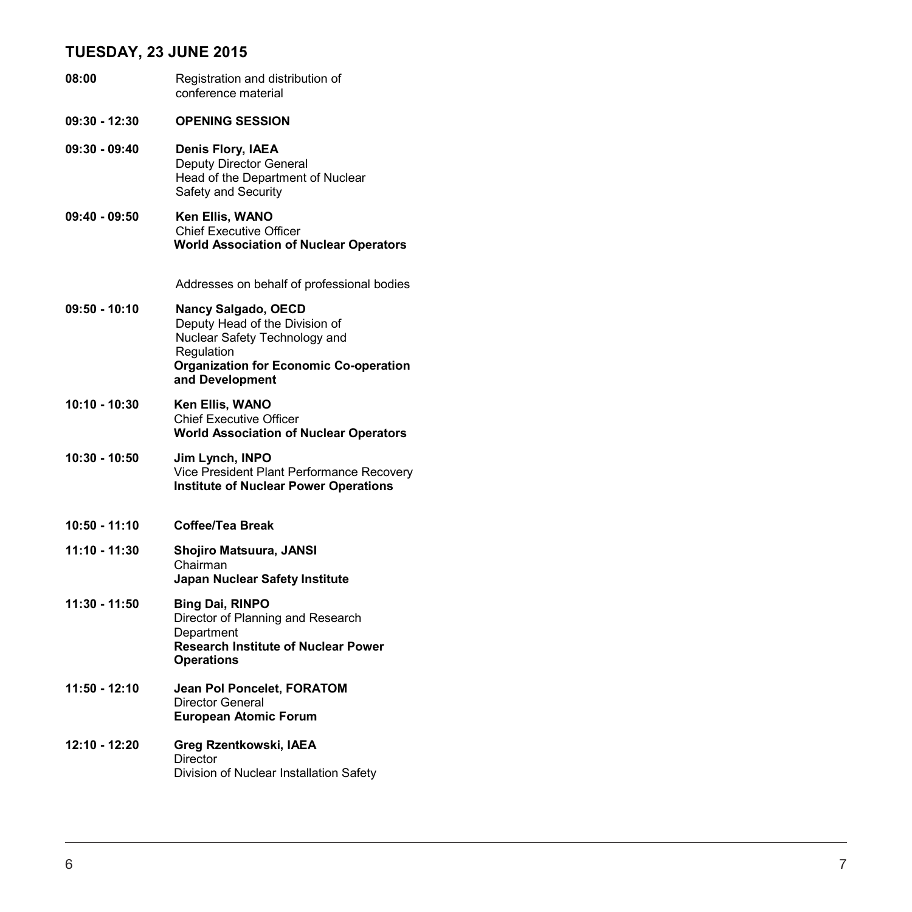## **TUESDAY, 23 JUNE 2015**

| 08:00           | Registration and distribution of<br>conference material                                                                                                                         |
|-----------------|---------------------------------------------------------------------------------------------------------------------------------------------------------------------------------|
| 09:30 - 12:30   | <b>OPENING SESSION</b>                                                                                                                                                          |
| $09:30 - 09:40$ | Denis Flory, IAEA<br>Deputy Director General<br>Head of the Department of Nuclear<br>Safety and Security                                                                        |
| 09:40 - 09:50   | Ken Ellis, WANO<br><b>Chief Executive Officer</b><br><b>World Association of Nuclear Operators</b>                                                                              |
|                 | Addresses on behalf of professional bodies                                                                                                                                      |
| 09:50 - 10:10   | <b>Nancy Salgado, OECD</b><br>Deputy Head of the Division of<br>Nuclear Safety Technology and<br>Regulation<br><b>Organization for Economic Co-operation</b><br>and Development |
| 10:10 - 10:30   | Ken Ellis, WANO<br><b>Chief Executive Officer</b><br><b>World Association of Nuclear Operators</b>                                                                              |
| 10:30 - 10:50   | Jim Lynch, INPO<br>Vice President Plant Performance Recovery<br><b>Institute of Nuclear Power Operations</b>                                                                    |
| 10:50 - 11:10   | <b>Coffee/Tea Break</b>                                                                                                                                                         |
| 11:10 - 11:30   | Shojiro Matsuura, JANSI<br>Chairman<br>Japan Nuclear Safety Institute                                                                                                           |
| 11:30 - 11:50   | <b>Bing Dai, RINPO</b><br>Director of Planning and Research<br>Department<br><b>Research Institute of Nuclear Power</b><br><b>Operations</b>                                    |
| 11:50 - 12:10   | Jean Pol Poncelet, FORATOM<br>Director General<br><b>European Atomic Forum</b>                                                                                                  |
| 12:10 - 12:20   | Greg Rzentkowski, IAEA<br><b>Director</b><br>Division of Nuclear Installation Safety                                                                                            |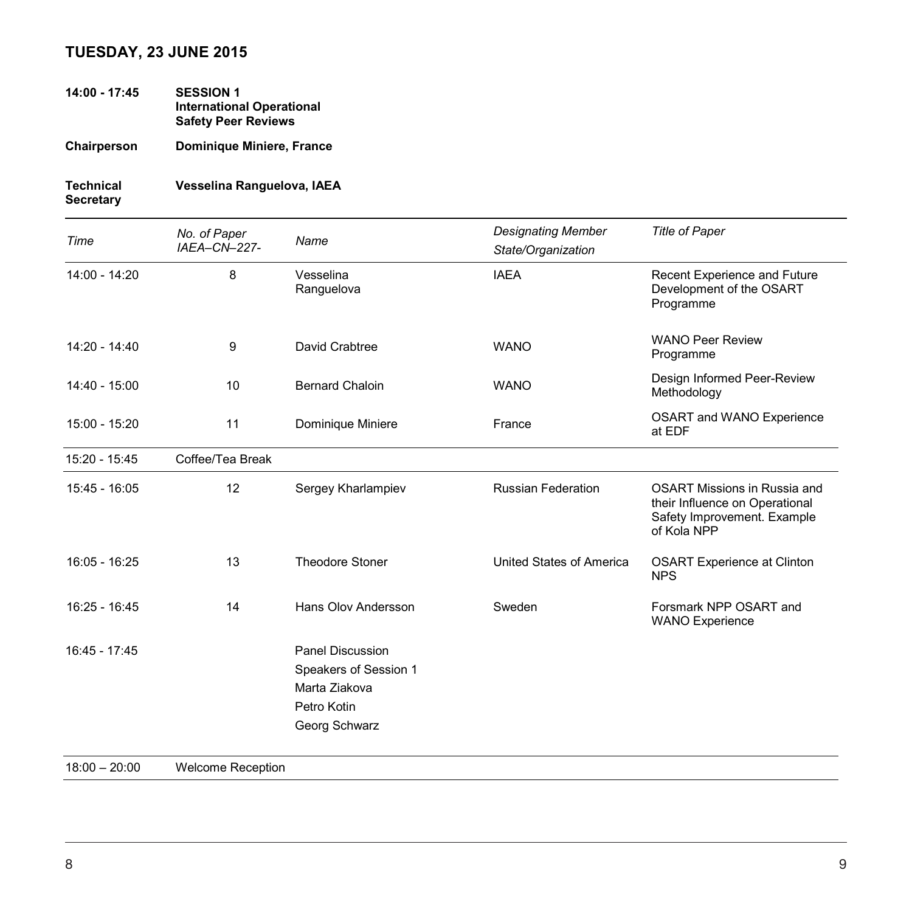## **TUESDAY, 23 JUNE 2015**

**14:00 - 17:45 SESSION 1 International Operational Safety Peer Reviews**

**Chairperson Dominique Miniere, France**

# **Technical Vesselina Ranguelova, IAEA**

**Secretary**

| Time          | No. of Paper<br>IAEA-CN-227- | Name                                                                                       | <b>Designating Member</b><br>State/Organization | <b>Title of Paper</b>                                                                                               |
|---------------|------------------------------|--------------------------------------------------------------------------------------------|-------------------------------------------------|---------------------------------------------------------------------------------------------------------------------|
| 14:00 - 14:20 | 8                            | Vesselina<br>Ranguelova                                                                    | <b>IAEA</b>                                     | Recent Experience and Future<br>Development of the OSART<br>Programme                                               |
| 14:20 - 14:40 | 9                            | David Crabtree                                                                             | <b>WANO</b>                                     | <b>WANO Peer Review</b><br>Programme                                                                                |
| 14:40 - 15:00 | 10                           | <b>Bernard Chaloin</b>                                                                     | <b>WANO</b>                                     | Design Informed Peer-Review<br>Methodology                                                                          |
| 15:00 - 15:20 | 11                           | Dominique Miniere                                                                          | France                                          | OSART and WANO Experience<br>at EDF                                                                                 |
| 15:20 - 15:45 | Coffee/Tea Break             |                                                                                            |                                                 |                                                                                                                     |
| 15:45 - 16:05 | 12                           | Sergey Kharlampiev                                                                         | <b>Russian Federation</b>                       | <b>OSART Missions in Russia and</b><br>their Influence on Operational<br>Safety Improvement. Example<br>of Kola NPP |
| 16:05 - 16:25 | 13                           | <b>Theodore Stoner</b>                                                                     | United States of America                        | <b>OSART Experience at Clinton</b><br><b>NPS</b>                                                                    |
| 16:25 - 16:45 | 14                           | Hans Olov Andersson                                                                        | Sweden                                          | Forsmark NPP OSART and<br><b>WANO Experience</b>                                                                    |
| 16:45 - 17:45 |                              | Panel Discussion<br>Speakers of Session 1<br>Marta Ziakova<br>Petro Kotin<br>Georg Schwarz |                                                 |                                                                                                                     |

18:00 – 20:00 Welcome Reception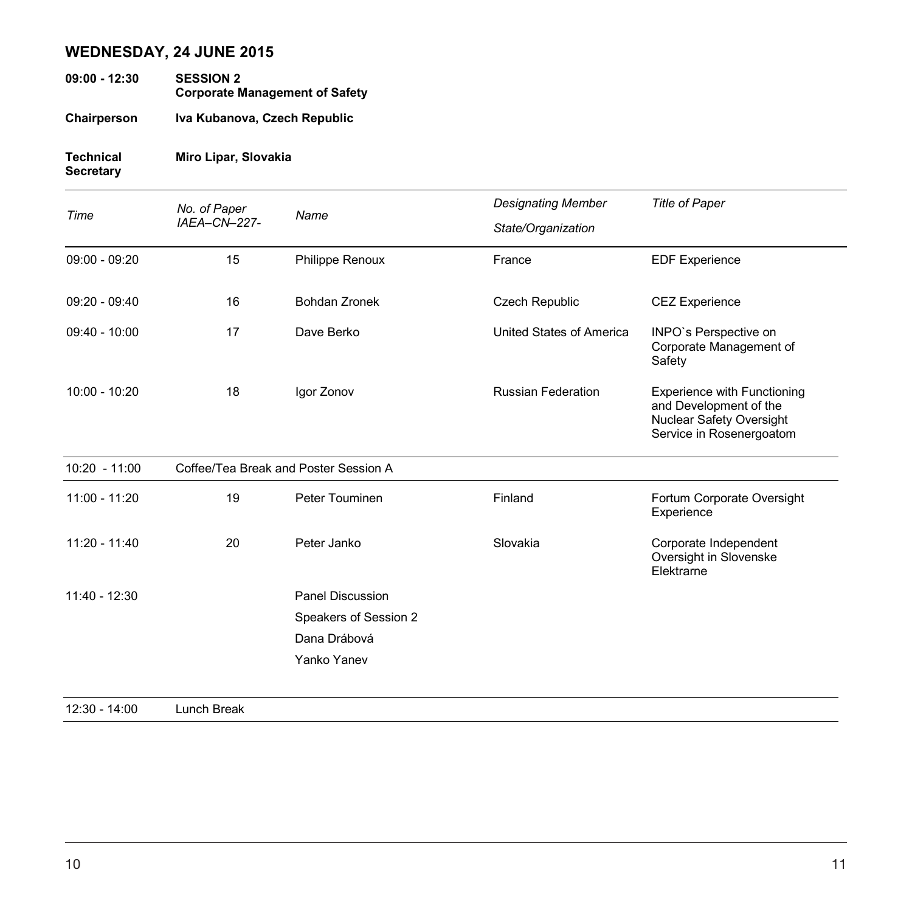## **WEDNESDAY, 24 JUNE 2015**

- **09:00 - 12:30 SESSION 2 Corporate Management of Safety**
- **Chairperson Iva Kubanova, Czech Republic**

## **Technical Miro Lipar, Slovakia**

## **Secretary**

| Time            | No. of Paper<br>IAEA-CN-227- | Name                                  | <b>Designating Member</b> | <b>Title of Paper</b>                                                                                                |
|-----------------|------------------------------|---------------------------------------|---------------------------|----------------------------------------------------------------------------------------------------------------------|
|                 |                              |                                       | State/Organization        |                                                                                                                      |
| $09:00 - 09:20$ | 15                           | Philippe Renoux                       | France                    | <b>EDF Experience</b>                                                                                                |
| $09:20 - 09:40$ | 16                           | Bohdan Zronek                         | <b>Czech Republic</b>     | <b>CEZ Experience</b>                                                                                                |
| $09:40 - 10:00$ | 17                           | Dave Berko                            | United States of America  | INPO's Perspective on<br>Corporate Management of<br>Safety                                                           |
| $10:00 - 10:20$ | 18                           | Igor Zonov                            | <b>Russian Federation</b> | <b>Experience with Functioning</b><br>and Development of the<br>Nuclear Safety Oversight<br>Service in Rosenergoatom |
| $10:20 - 11:00$ |                              | Coffee/Tea Break and Poster Session A |                           |                                                                                                                      |
| 11:00 - 11:20   | 19                           | Peter Touminen                        | Finland                   | Fortum Corporate Oversight<br>Experience                                                                             |
| $11:20 - 11:40$ | 20                           | Peter Janko                           | Slovakia                  | Corporate Independent<br>Oversight in Slovenske<br>Elektrarne                                                        |
| $11:40 - 12:30$ |                              | <b>Panel Discussion</b>               |                           |                                                                                                                      |
|                 |                              | Speakers of Session 2                 |                           |                                                                                                                      |
|                 |                              | Dana Drábová                          |                           |                                                                                                                      |
|                 |                              | Yanko Yanev                           |                           |                                                                                                                      |
| $12:30 - 14:00$ | Lunch Break                  |                                       |                           |                                                                                                                      |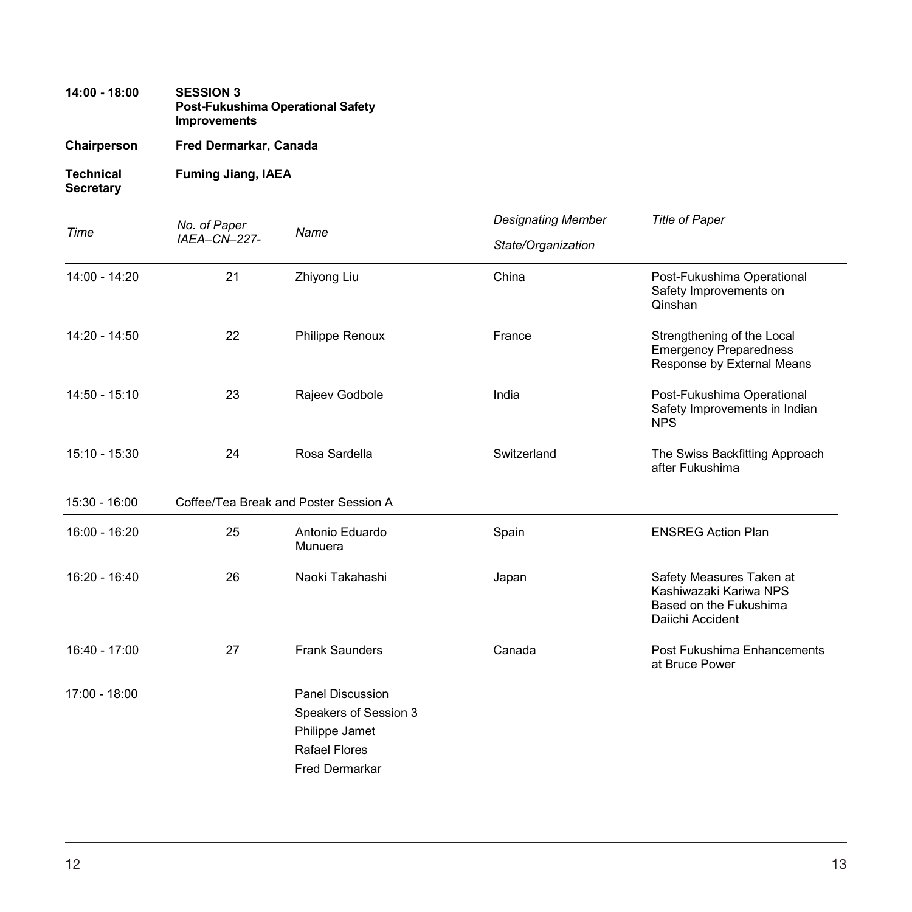## **14:00 - 18:00 SESSION 3 Post-Fukushima Operational Safety Improvements**

**Chairperson Fred Dermarkar, Canada**

**Technical Fuming Jiang, IAEA Secretary**

| Time            | No. of Paper<br>IAEA-CN-227- | Name                                                                                                         | <b>Designating Member</b> | <b>Title of Paper</b>                                                                            |
|-----------------|------------------------------|--------------------------------------------------------------------------------------------------------------|---------------------------|--------------------------------------------------------------------------------------------------|
|                 |                              |                                                                                                              | State/Organization        |                                                                                                  |
| 14:00 - 14:20   | 21                           | Zhiyong Liu                                                                                                  | China                     | Post-Fukushima Operational<br>Safety Improvements on<br>Qinshan                                  |
| 14:20 - 14:50   | 22                           | Philippe Renoux                                                                                              | France                    | Strengthening of the Local<br><b>Emergency Preparedness</b><br>Response by External Means        |
| $14:50 - 15:10$ | 23                           | Rajeev Godbole                                                                                               | India                     | Post-Fukushima Operational<br>Safety Improvements in Indian<br><b>NPS</b>                        |
| 15:10 - 15:30   | 24                           | Rosa Sardella                                                                                                | Switzerland               | The Swiss Backfitting Approach<br>after Fukushima                                                |
| $15:30 - 16:00$ |                              | Coffee/Tea Break and Poster Session A                                                                        |                           |                                                                                                  |
| 16:00 - 16:20   | 25                           | Antonio Eduardo<br>Munuera                                                                                   | Spain                     | <b>ENSREG Action Plan</b>                                                                        |
| 16:20 - 16:40   | 26                           | Naoki Takahashi                                                                                              | Japan                     | Safety Measures Taken at<br>Kashiwazaki Kariwa NPS<br>Based on the Fukushima<br>Daiichi Accident |
| $16:40 - 17:00$ | 27                           | <b>Frank Saunders</b>                                                                                        | Canada                    | Post Fukushima Enhancements<br>at Bruce Power                                                    |
| 17:00 - 18:00   |                              | <b>Panel Discussion</b><br>Speakers of Session 3<br>Philippe Jamet<br><b>Rafael Flores</b><br>Fred Dermarkar |                           |                                                                                                  |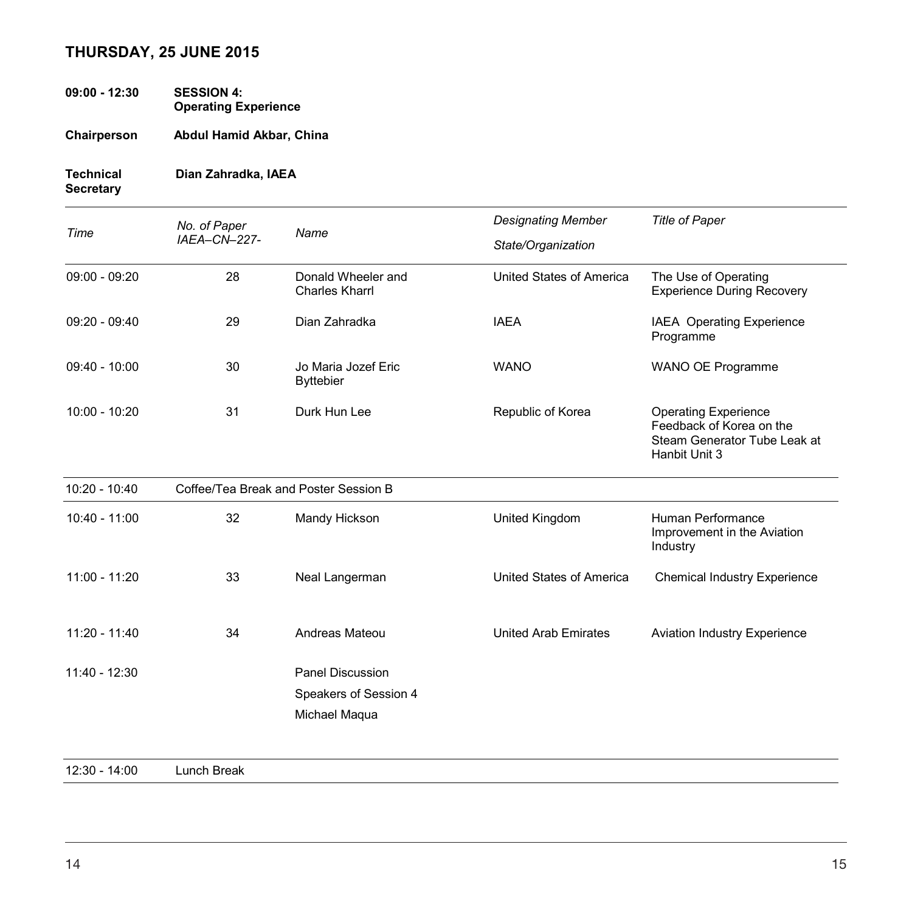## **THURSDAY, 25 JUNE 2015**

- **09:00 - 12:30 SESSION 4: Operating Experience**
- **Chairperson Abdul Hamid Akbar, China**

### **Technical Dian Zahradka, IAEA Secretary**

| Time            | No. of Paper | Name                                        | <b>Designating Member</b>   | <b>Title of Paper</b>                                                                                    |
|-----------------|--------------|---------------------------------------------|-----------------------------|----------------------------------------------------------------------------------------------------------|
|                 | IAEA-CN-227- |                                             | State/Organization          |                                                                                                          |
| $09:00 - 09:20$ | 28           | Donald Wheeler and<br><b>Charles Kharrl</b> | United States of America    | The Use of Operating<br><b>Experience During Recovery</b>                                                |
| $09:20 - 09:40$ | 29           | Dian Zahradka                               | <b>IAEA</b>                 | IAEA Operating Experience<br>Programme                                                                   |
| $09:40 - 10:00$ | 30           | Jo Maria Jozef Eric<br><b>Byttebier</b>     | <b>WANO</b>                 | WANO OE Programme                                                                                        |
| $10:00 - 10:20$ | 31           | Durk Hun Lee                                | Republic of Korea           | <b>Operating Experience</b><br>Feedback of Korea on the<br>Steam Generator Tube Leak at<br>Hanbit Unit 3 |
| $10:20 - 10:40$ |              | Coffee/Tea Break and Poster Session B       |                             |                                                                                                          |
|                 |              |                                             |                             |                                                                                                          |
| 10:40 - 11:00   | 32           | Mandy Hickson                               | United Kingdom              | Human Performance<br>Improvement in the Aviation<br>Industry                                             |
| $11:00 - 11:20$ | 33           | Neal Langerman                              | United States of America    | <b>Chemical Industry Experience</b>                                                                      |
| $11:20 - 11:40$ | 34           | Andreas Mateou                              | <b>United Arab Emirates</b> | <b>Aviation Industry Experience</b>                                                                      |

12:30 - 14:00 Lunch Break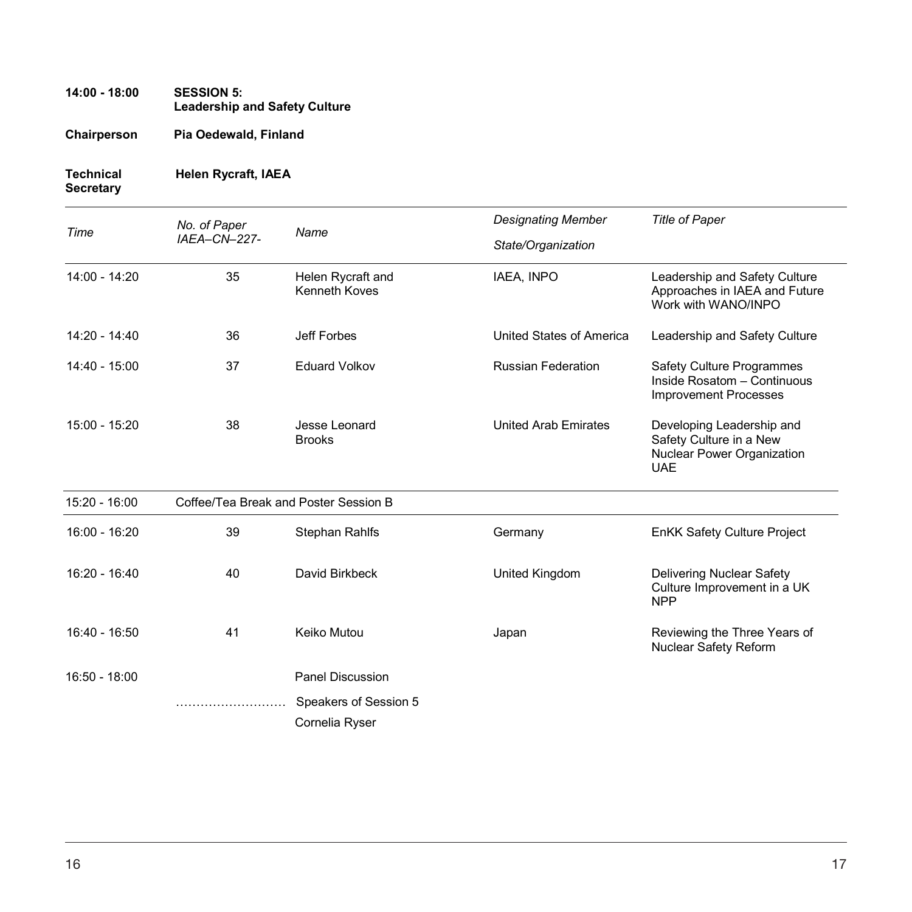## **14:00 - 18:00 SESSION 5: Leadership and Safety Culture**

**Chairperson Pia Oedewald, Finland**

### **Technical Helen Rycraft, IAEA Secretary**

|                 | No. of Paper |                                           | <b>Designating Member</b>   | <b>Title of Paper</b>                                                                            |
|-----------------|--------------|-------------------------------------------|-----------------------------|--------------------------------------------------------------------------------------------------|
| Time            | IAEA-CN-227- | Name                                      | State/Organization          |                                                                                                  |
| 14:00 - 14:20   | 35           | Helen Rycraft and<br><b>Kenneth Koves</b> | IAEA, INPO                  | Leadership and Safety Culture<br>Approaches in IAEA and Future<br>Work with WANO/INPO            |
| $14:20 - 14:40$ | 36           | Jeff Forbes                               | United States of America    | Leadership and Safety Culture                                                                    |
| 14:40 - 15:00   | 37           | <b>Eduard Volkov</b>                      | <b>Russian Federation</b>   | <b>Safety Culture Programmes</b><br>Inside Rosatom - Continuous<br><b>Improvement Processes</b>  |
| $15:00 - 15:20$ | 38           | Jesse Leonard<br><b>Brooks</b>            | <b>United Arab Emirates</b> | Developing Leadership and<br>Safety Culture in a New<br>Nuclear Power Organization<br><b>UAE</b> |
| 15:20 - 16:00   |              | Coffee/Tea Break and Poster Session B     |                             |                                                                                                  |
| 16:00 - 16:20   | 39           | <b>Stephan Rahlfs</b>                     | Germany                     | <b>EnKK Safety Culture Project</b>                                                               |
| $16:20 - 16:40$ | 40           | David Birkbeck                            | United Kingdom              | Delivering Nuclear Safety<br>Culture Improvement in a UK<br><b>NPP</b>                           |
| 16:40 - 16:50   | 41           | Keiko Mutou                               | Japan                       | Reviewing the Three Years of<br>Nuclear Safety Reform                                            |
| $16:50 - 18:00$ |              | <b>Panel Discussion</b>                   |                             |                                                                                                  |
|                 |              | Speakers of Session 5                     |                             |                                                                                                  |
|                 |              | Cornelia Ryser                            |                             |                                                                                                  |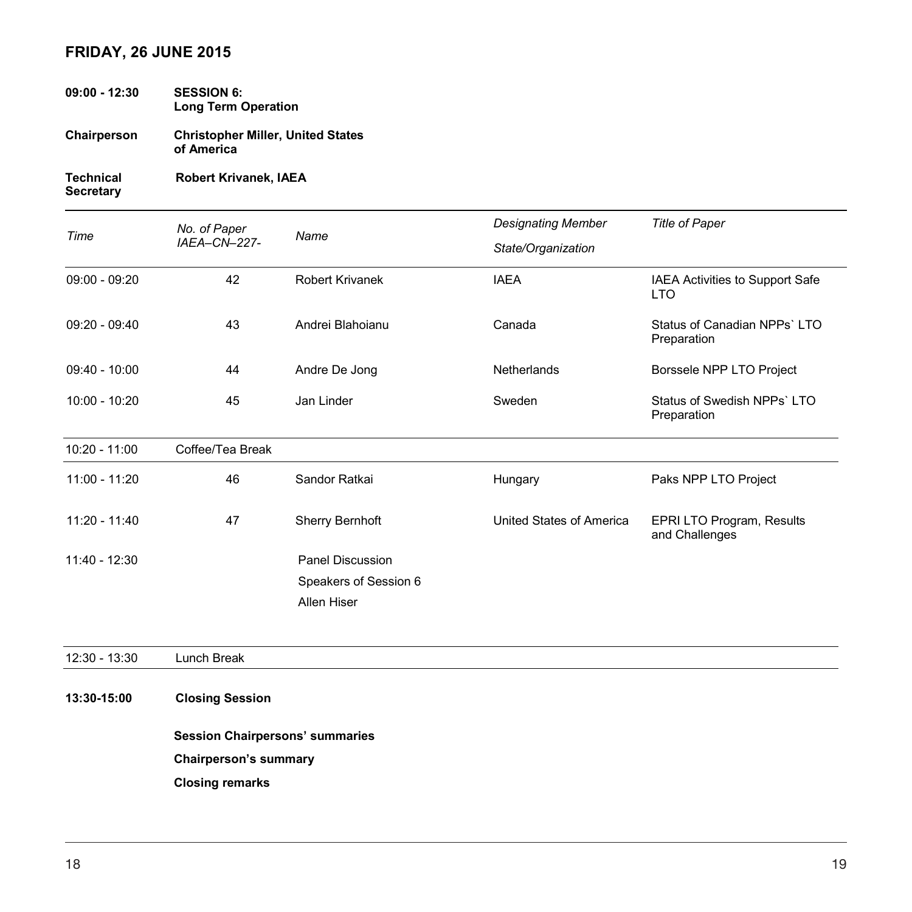### **FRIDAY, 26 JUNE 2015**

- **09:00 - 12:30 SESSION 6: Long Term Operation**
- **Chairperson Christopher Miller, United States of America**

**Technical Robert Krivanek, IAEA Secretary**

*Time No. of Paper IAEA–CN–227- Name Designating Member State/Organization Title of Paper* 09:00 - 09:20 42 Robert Krivanek IAEA IAEA Activities to Support Safe LTO 09:20 - 09:40 43 Andrei Blahoianu Canada Status of Canadian NPPs` LTO Preparation 09:40 - 10:00 **44** Andre De Jong Netherlands Borssele NPP LTO Project 10:00 - 10:20 45 Jan Linder Sweden Status of Swedish NPPs` LTO Preparation 10:20 - 11:00 Coffee/Tea Break 11:00 - 11:20 46 Sandor Ratkai Hungary Paks NPP LTO Project 11:20 - 11:40 47 Sherry Bernhoft United States of America EPRI LTO Program, Results and Challenges 11:40 - 12:30 Panel Discussion Speakers of Session 6 Allen Hiser

12:30 - 13:30 Lunch Break

### **13:30-15:00 Closing Session**

**Session Chairpersons' summaries**

**Chairperson's summary**

**Closing remarks**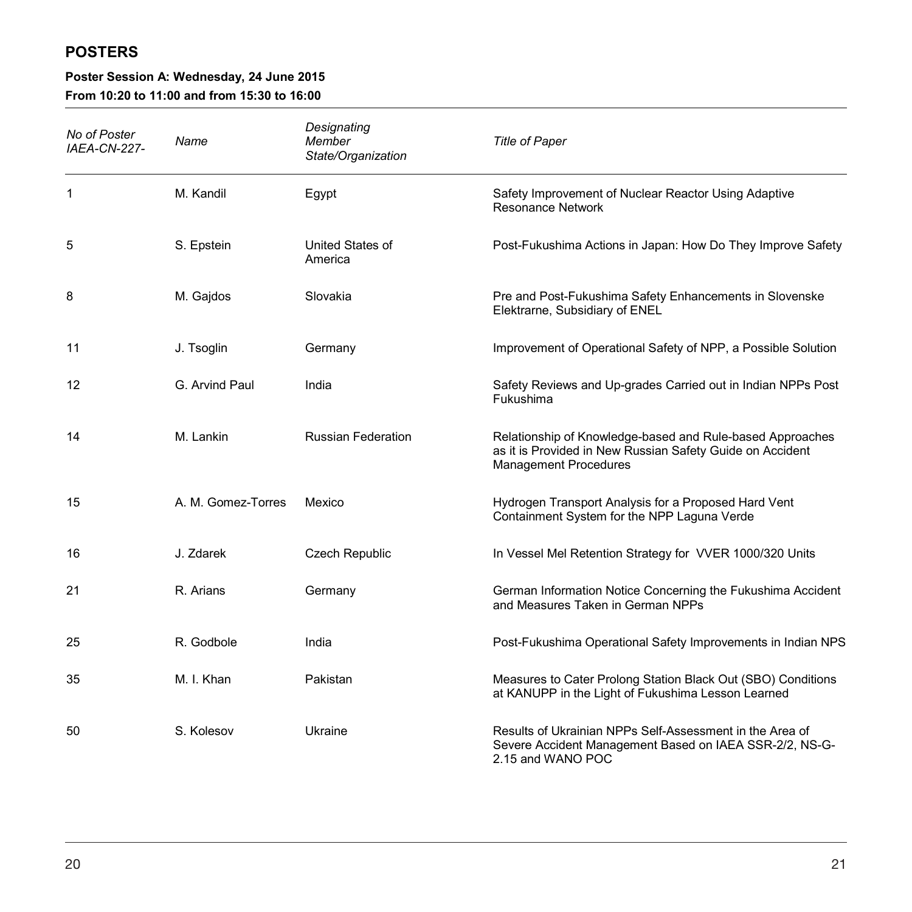## **POSTERS**

# **Poster Session A: Wednesday, 24 June 2015**

**From 10:20 to 11:00 and from 15:30 to 16:00**

| No of Poster<br><b>IAEA-CN-227-</b> | Name               | Designating<br>Member<br>State/Organization | <b>Title of Paper</b>                                                                                                                                  |
|-------------------------------------|--------------------|---------------------------------------------|--------------------------------------------------------------------------------------------------------------------------------------------------------|
| 1                                   | M. Kandil          | Egypt                                       | Safety Improvement of Nuclear Reactor Using Adaptive<br><b>Resonance Network</b>                                                                       |
| 5                                   | S. Epstein         | United States of<br>America                 | Post-Fukushima Actions in Japan: How Do They Improve Safety                                                                                            |
| 8                                   | M. Gajdos          | Slovakia                                    | Pre and Post-Fukushima Safety Enhancements in Slovenske<br>Elektrarne, Subsidiary of ENEL                                                              |
| 11                                  | J. Tsoglin         | Germany                                     | Improvement of Operational Safety of NPP, a Possible Solution                                                                                          |
| 12                                  | G. Arvind Paul     | India                                       | Safety Reviews and Up-grades Carried out in Indian NPPs Post<br>Fukushima                                                                              |
| 14                                  | M. Lankin          | <b>Russian Federation</b>                   | Relationship of Knowledge-based and Rule-based Approaches<br>as it is Provided in New Russian Safety Guide on Accident<br><b>Management Procedures</b> |
| 15                                  | A. M. Gomez-Torres | Mexico                                      | Hydrogen Transport Analysis for a Proposed Hard Vent<br>Containment System for the NPP Laguna Verde                                                    |
| 16                                  | J. Zdarek          | Czech Republic                              | In Vessel Mel Retention Strategy for VVER 1000/320 Units                                                                                               |
| 21                                  | R. Arians          | Germany                                     | German Information Notice Concerning the Fukushima Accident<br>and Measures Taken in German NPPs                                                       |
| 25                                  | R. Godbole         | India                                       | Post-Fukushima Operational Safety Improvements in Indian NPS                                                                                           |
| 35                                  | M. I. Khan         | Pakistan                                    | Measures to Cater Prolong Station Black Out (SBO) Conditions<br>at KANUPP in the Light of Fukushima Lesson Learned                                     |
| 50                                  | S. Kolesov         | Ukraine                                     | Results of Ukrainian NPPs Self-Assessment in the Area of<br>Severe Accident Management Based on IAEA SSR-2/2, NS-G-<br>2.15 and WANO POC               |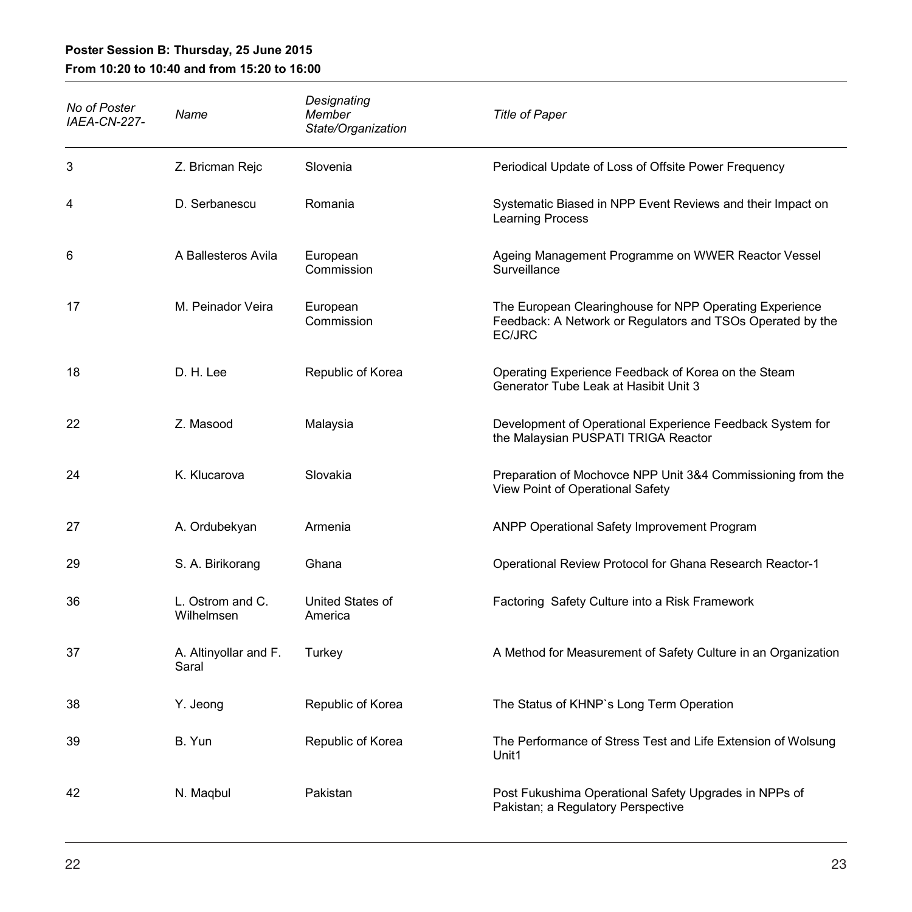## **Poster Session B: Thursday, 25 June 2015**

## **From 10:20 to 10:40 and from 15:20 to 16:00**

| No of Poster<br>IAEA-CN-227- | Name                           | Designating<br>Member<br>State/Organization | <b>Title of Paper</b>                                                                                                           |
|------------------------------|--------------------------------|---------------------------------------------|---------------------------------------------------------------------------------------------------------------------------------|
| 3                            | Z. Bricman Rejc                | Slovenia                                    | Periodical Update of Loss of Offsite Power Frequency                                                                            |
| 4                            | D. Serbanescu                  | Romania                                     | Systematic Biased in NPP Event Reviews and their Impact on<br>Learning Process                                                  |
| 6                            | A Ballesteros Avila            | European<br>Commission                      | Ageing Management Programme on WWER Reactor Vessel<br>Surveillance                                                              |
| 17                           | M. Peinador Veira              | European<br>Commission                      | The European Clearinghouse for NPP Operating Experience<br>Feedback: A Network or Regulators and TSOs Operated by the<br>EC/JRC |
| 18                           | D. H. Lee                      | Republic of Korea                           | Operating Experience Feedback of Korea on the Steam<br>Generator Tube Leak at Hasibit Unit 3                                    |
| 22                           | Z. Masood                      | Malaysia                                    | Development of Operational Experience Feedback System for<br>the Malaysian PUSPATI TRIGA Reactor                                |
| 24                           | K. Klucarova                   | Slovakia                                    | Preparation of Mochovce NPP Unit 3&4 Commissioning from the<br>View Point of Operational Safety                                 |
| 27                           | A. Ordubekyan                  | Armenia                                     | ANPP Operational Safety Improvement Program                                                                                     |
| 29                           | S. A. Birikorang               | Ghana                                       | Operational Review Protocol for Ghana Research Reactor-1                                                                        |
| 36                           | L. Ostrom and C.<br>Wilhelmsen | United States of<br>America                 | Factoring Safety Culture into a Risk Framework                                                                                  |
| 37                           | A. Altinyollar and F.<br>Saral | Turkey                                      | A Method for Measurement of Safety Culture in an Organization                                                                   |
| 38                           | Y. Jeong                       | Republic of Korea                           | The Status of KHNP's Long Term Operation                                                                                        |
| 39                           | B. Yun                         | Republic of Korea                           | The Performance of Stress Test and Life Extension of Wolsung<br>Unit1                                                           |
| 42                           | N. Magbul                      | Pakistan                                    | Post Fukushima Operational Safety Upgrades in NPPs of<br>Pakistan; a Regulatory Perspective                                     |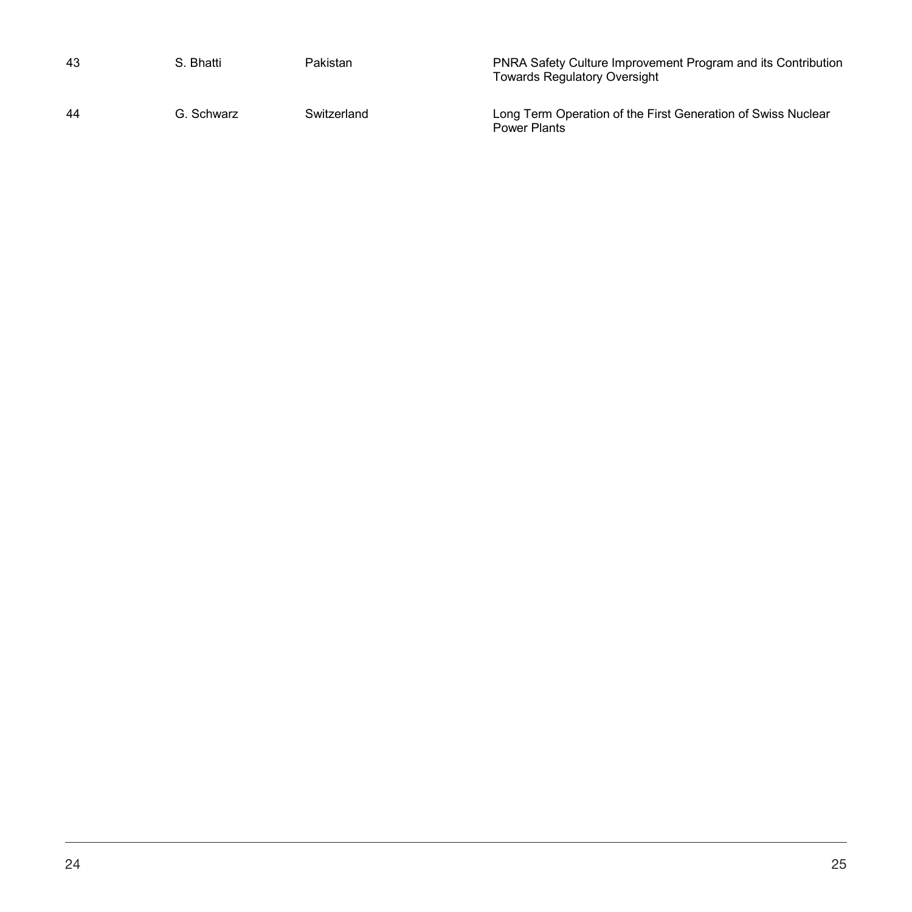| 43 | S. Bhatti  | Pakistan    | <b>PNRA Safety Culture Improvement Program and its Contribution</b><br><b>Towards Regulatory Oversight</b> |
|----|------------|-------------|------------------------------------------------------------------------------------------------------------|
| 44 | G. Schwarz | Switzerland | Long Term Operation of the First Generation of Swiss Nuclear<br><b>Power Plants</b>                        |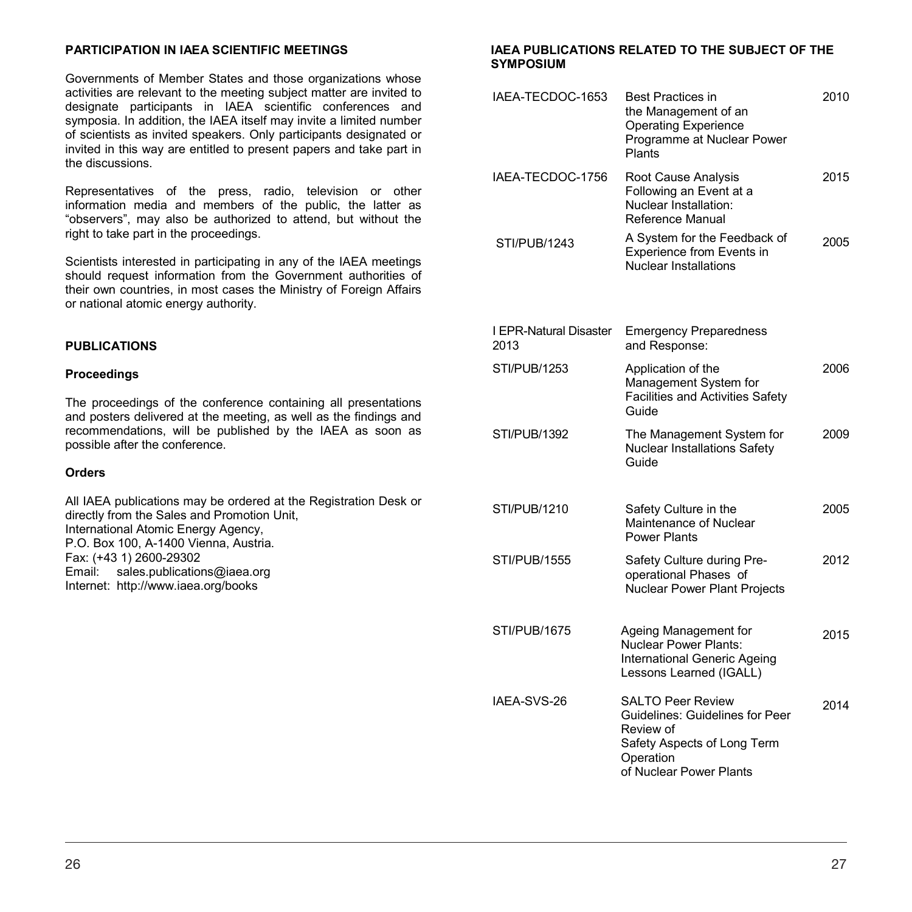### **PARTICIPATION IN IAEA SCIENTIFIC MEETINGS**

Governments of Member States and those organizations whose activities are relevant to the meeting subject matter are invited to designate participants in IAEA scientific conferences and symposia. In addition, the IAEA itself may invite a limited number of scientists as invited speakers. Only participants designated or invited in this way are entitled to present papers and take part in the discussions.

Representatives of the press, radio, television or other information media and members of the public, the latter as "observers", may also be authorized to attend, but without the right to take part in the proceedings.

Scientists interested in participating in any of the IAEA meetings should request information from the Government authorities of their own countries, in most cases the Ministry of Foreign Affairs or national atomic energy authority.

### **PUBLICATIONS**

#### **Proceedings**

The proceedings of the conference containing all presentations and posters delivered at the meeting, as well as the findings and recommendations, will be published by the IAEA as soon as possible after the conference.

#### **Orders**

All IAEA publications may be ordered at the Registration Desk or directly from the Sales and Promotion Unit, International Atomic Energy Agency, P.O. Box 100, A-1400 Vienna, Austria. Fax: (+43 1) 2600-29302 Email: sales.publications@iaea.org Internet: http://www.iaea.org/books

#### **IAEA PUBLICATIONS RELATED TO THE SUBJECT OF THE SYMPOSIUM**

| IAEA-TECDOC-1653               | <b>Best Practices in</b><br>the Management of an<br><b>Operating Experience</b><br>Programme at Nuclear Power<br>Plants                         | 2010 |
|--------------------------------|-------------------------------------------------------------------------------------------------------------------------------------------------|------|
| IAEA-TECDOC-1756               | Root Cause Analysis<br>Following an Event at a<br>Nuclear Installation:<br>Reference Manual                                                     | 2015 |
| <b>STI/PUB/1243</b>            | A System for the Feedback of<br>Experience from Events in<br>Nuclear Installations                                                              | 2005 |
| I EPR-Natural Disaster<br>2013 | <b>Emergency Preparedness</b><br>and Response:                                                                                                  |      |
| STI/PUB/1253                   | Application of the<br>Management System for<br><b>Facilities and Activities Safety</b><br>Guide                                                 | 2006 |
| <b>STI/PUB/1392</b>            | The Management System for<br><b>Nuclear Installations Safety</b><br>Guide                                                                       | 2009 |
| STI/PUB/1210                   | Safety Culture in the<br>Maintenance of Nuclear<br><b>Power Plants</b>                                                                          | 2005 |
| STI/PUB/1555                   | Safety Culture during Pre-<br>operational Phases of<br>Nuclear Power Plant Projects                                                             | 2012 |
| STI/PUB/1675                   | Ageing Management for<br><b>Nuclear Power Plants:</b><br>International Generic Ageing<br>Lessons Learned (IGALL)                                | 2015 |
| IAEA-SVS-26                    | <b>SALTO Peer Review</b><br>Guidelines: Guidelines for Peer<br>Review of<br>Safety Aspects of Long Term<br>Operation<br>of Nuclear Power Plants | 2014 |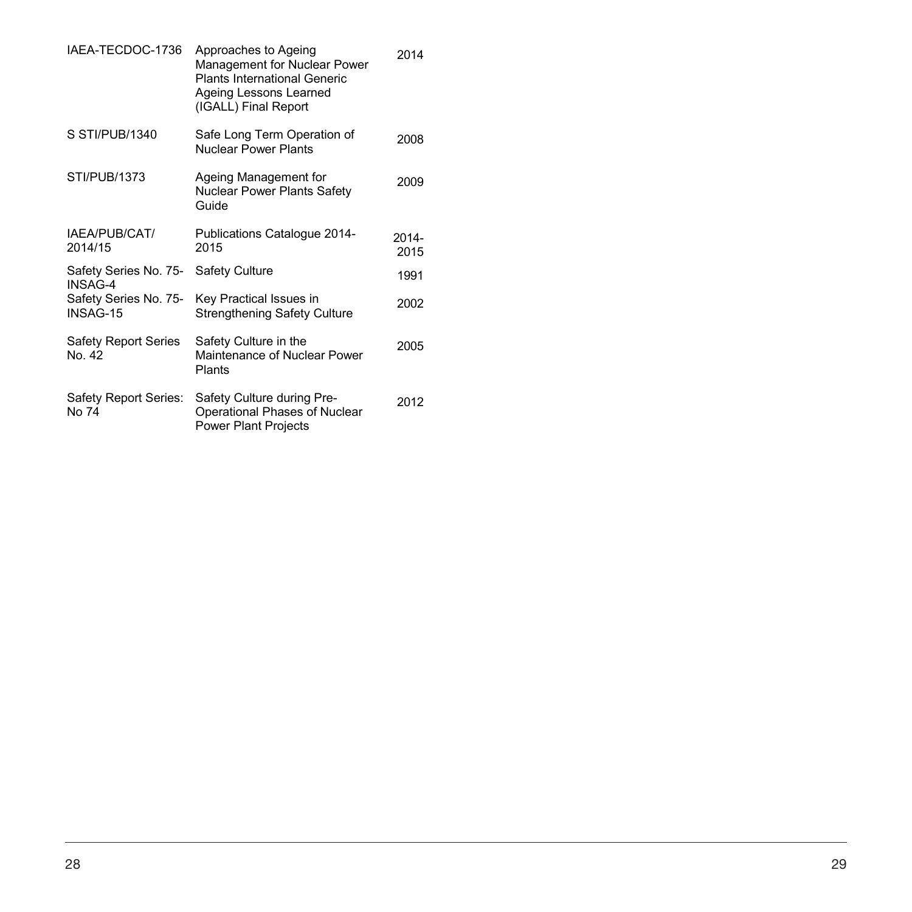| IAEA-TECDOC-1736                      | Approaches to Ageing<br>Management for Nuclear Power<br><b>Plants International Generic</b><br>Ageing Lessons Learned<br>(IGALL) Final Report | 2014          |
|---------------------------------------|-----------------------------------------------------------------------------------------------------------------------------------------------|---------------|
| S STI/PUB/1340                        | Safe Long Term Operation of<br>Nuclear Power Plants                                                                                           | 2008          |
| STI/PUB/1373                          | Ageing Management for<br><b>Nuclear Power Plants Safety</b><br>Guide                                                                          | 2009          |
| IAEA/PUB/CAT/<br>2014/15              | Publications Catalogue 2014-<br>2015                                                                                                          | 2014-<br>2015 |
| Safety Series No. 75-<br>INSAG-4      | <b>Safety Culture</b>                                                                                                                         | 1991          |
| Safety Series No. 75-<br>INSAG-15     | Key Practical Issues in<br><b>Strengthening Safety Culture</b>                                                                                | 2002          |
| <b>Safety Report Series</b><br>No. 42 | Safety Culture in the<br>Maintenance of Nuclear Power<br>Plants                                                                               | 2005          |
| Safety Report Series:<br>No 74        | Safety Culture during Pre-<br>Operational Phases of Nuclear<br><b>Power Plant Projects</b>                                                    | 2012          |